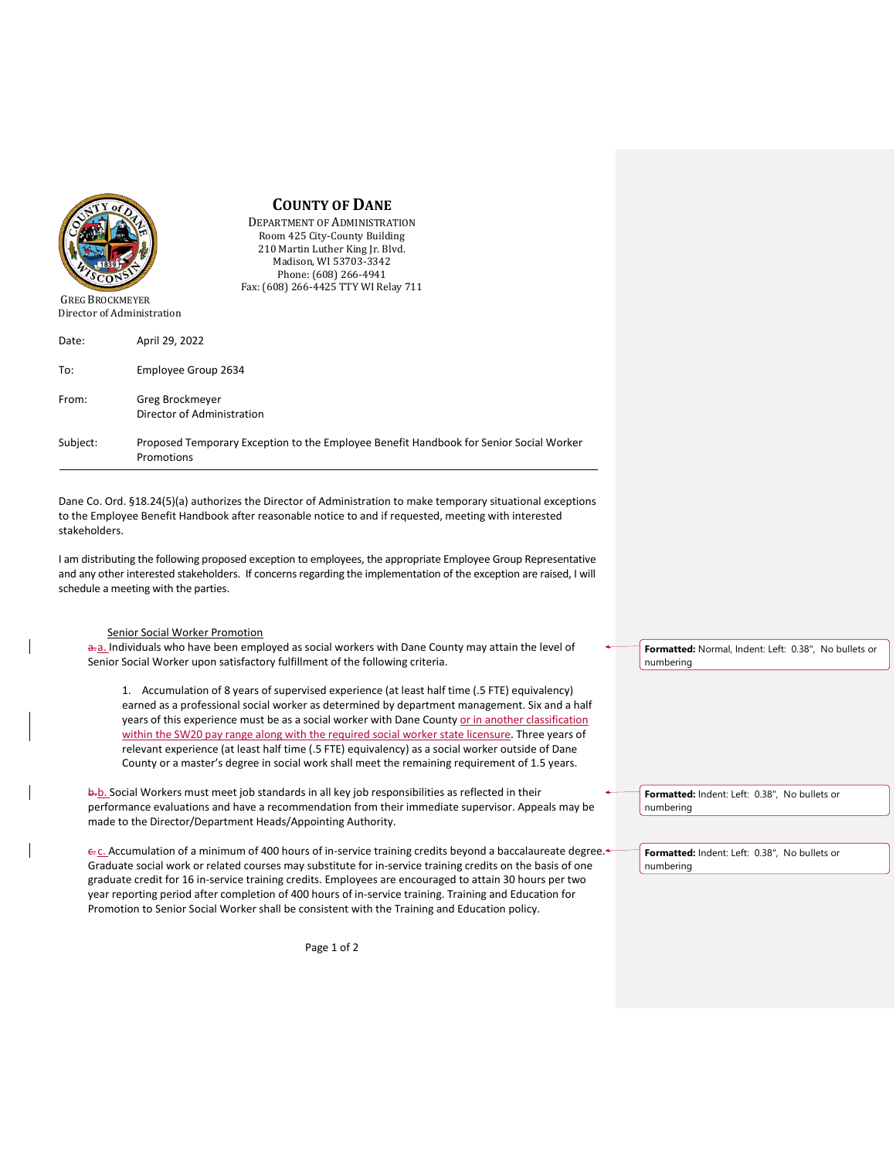

GREG BROCKMEYER Director of Administration

| Date:    | April 29, 2022                                                                                       |
|----------|------------------------------------------------------------------------------------------------------|
| To:      | Employee Group 2634                                                                                  |
| From:    | Greg Brockmeyer<br>Director of Administration                                                        |
| Subject: | Proposed Temporary Exception to the Employee Benefit Handbook for Senior Social Worker<br>Promotions |

Dane Co. Ord. §18.24(5)(a) authorizes the Director of Administration to make temporary situational exceptions to the Employee Benefit Handbook after reasonable notice to and if requested, meeting with interested stakeholders.

**COUNTY OF DANE**  DEPARTMENT OF ADMINISTRATION Room 425 City-County Building 210 Martin Luther King Jr. Blvd. Madison, WI 53703-3342 Phone: (608) 266-4941 Fax: (608) 266-4425 TTY WI Relay 711

I am distributing the following proposed exception to employees, the appropriate Employee Group Representative and any other interested stakeholders. If concerns regarding the implementation of the exception are raised, I will schedule a meeting with the parties.

## Senior Social Worker Promotion

a. Individuals who have been employed as social workers with Dane County may attain the level of Senior Social Worker upon satisfactory fulfillment of the following criteria.

1. Accumulation of 8 years of supervised experience (at least half time (.5 FTE) equivalency) earned as a professional social worker as determined by department management. Six and a half years of this experience must be as a social worker with Dane County or in another classification within the SW20 pay range along with the required social worker state licensure. Three years of relevant experience (at least half time (.5 FTE) equivalency) as a social worker outside of Dane County or a master's degree in social work shall meet the remaining requirement of 1.5 years.

b.b. Social Workers must meet job standards in all key job responsibilities as reflected in their performance evaluations and have a recommendation from their immediate supervisor. Appeals may be made to the Director/Department Heads/Appointing Authority.

e. c. Accumulation of a minimum of 400 hours of in-service training credits beyond a baccalaureate degree. Graduate social work or related courses may substitute for in-service training credits on the basis of one graduate credit for 16 in-service training credits. Employees are encouraged to attain 30 hours per two year reporting period after completion of 400 hours of in-service training. Training and Education for Promotion to Senior Social Worker shall be consistent with the Training and Education policy.

**Formatted:** Normal, Indent: Left: 0.38", No bullets or numbering

**Formatted:** Indent: Left: 0.38", No bullets or numbering

**Formatted:** Indent: Left: 0.38", No bullets or numbering

Page 1 of 2